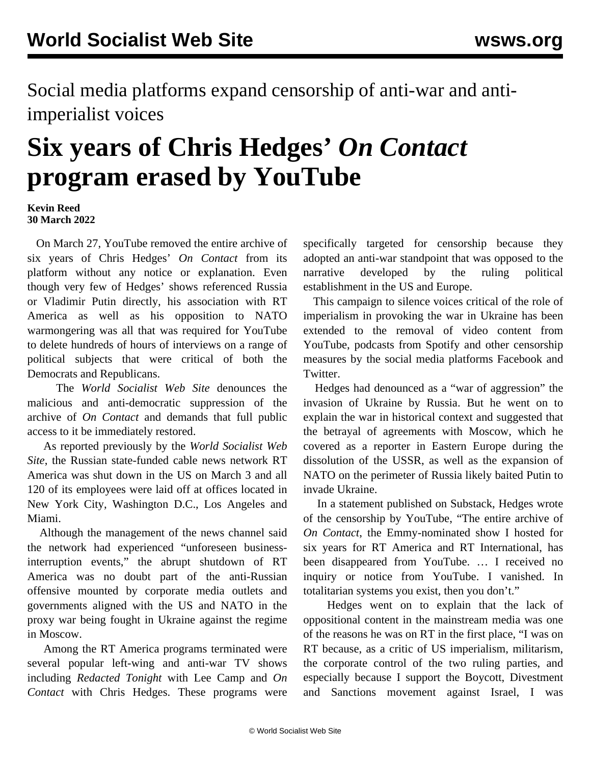Social media platforms expand censorship of anti-war and antiimperialist voices

## **Six years of Chris Hedges'** *On Contact* **program erased by YouTube**

## **Kevin Reed 30 March 2022**

 On March 27, YouTube removed the entire archive of six years of Chris Hedges' *On Contact* from its platform without any notice or explanation. Even though very few of Hedges' shows referenced Russia or Vladimir Putin directly, his association with RT America as well as his opposition to NATO warmongering was all that was required for YouTube to delete hundreds of hours of interviews on a range of political subjects that were critical of both the Democrats and Republicans.

 The *World Socialist Web Site* denounces the malicious and anti-democratic suppression of the archive of *On Contact* and demands that full public access to it be immediately restored.

 As reported previously by the *World Socialist Web Site*, the Russian state-funded cable news network RT America was shut down in the US on March 3 and all 120 of its employees were laid off at offices located in New York City, Washington D.C., Los Angeles and Miami.

 Although the management of the news channel said the network had experienced "unforeseen businessinterruption events," the abrupt shutdown of RT America was no doubt part of the anti-Russian offensive mounted by corporate media outlets and governments aligned with the US and NATO in the proxy war being fought in Ukraine against the regime in Moscow.

 Among the RT America programs terminated were several popular left-wing and anti-war TV shows including *Redacted Tonight* with Lee Camp and *On Contact* with Chris Hedges. These programs were

specifically targeted for censorship because they adopted an anti-war standpoint that was opposed to the narrative developed by the ruling political establishment in the US and Europe.

 This campaign to silence voices critical of the role of imperialism in provoking the war in Ukraine has been extended to the removal of video content from YouTube, podcasts from Spotify and other censorship measures by the social media platforms Facebook and Twitter.

 Hedges had denounced as a "war of aggression" the invasion of Ukraine by Russia. But he went on to explain the war in historical context and suggested that the betrayal of agreements with Moscow, which he covered as a reporter in Eastern Europe during the dissolution of the USSR, as well as the expansion of NATO on the perimeter of Russia likely baited Putin to invade Ukraine.

 In a statement published on Substack, Hedges wrote of the censorship by YouTube, "The entire archive of *On Contact*, the Emmy-nominated show I hosted for six years for RT America and RT International, has been disappeared from YouTube. … I received no inquiry or notice from YouTube. I vanished. In totalitarian systems you exist, then you don't."

 Hedges went on to explain that the lack of oppositional content in the mainstream media was one of the reasons he was on RT in the first place, "I was on RT because, as a critic of US imperialism, militarism, the corporate control of the two ruling parties, and especially because I support the Boycott, Divestment and Sanctions movement against Israel, I was